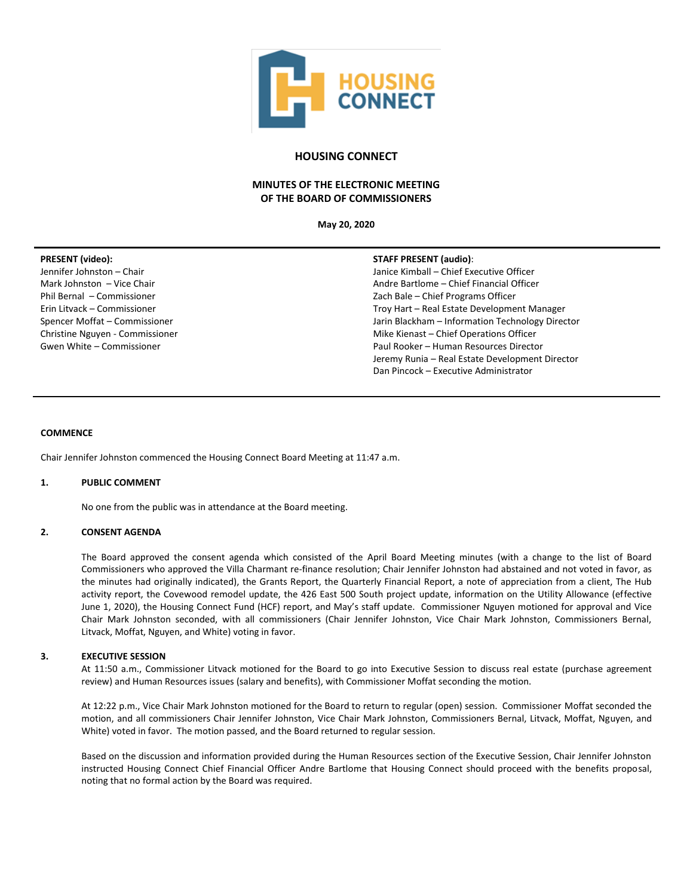

# **HOUSING CONNECT**

# **MINUTES OF THE ELECTRONIC MEETING OF THE BOARD OF COMMISSIONERS**

**May 20, 2020**

## **PRESENT (video):**

Jennifer Johnston – Chair Mark Johnston – Vice Chair Phil Bernal – Commissioner Erin Litvack – Commissioner Spencer Moffat – Commissioner Christine Nguyen - Commissioner Gwen White – Commissioner

## **STAFF PRESENT (audio)**:

Janice Kimball – Chief Executive Officer Andre Bartlome – Chief Financial Officer Zach Bale – Chief Programs Officer Troy Hart – Real Estate Development Manager Jarin Blackham – Information Technology Director Mike Kienast – Chief Operations Officer Paul Rooker – Human Resources Director Jeremy Runia – Real Estate Development Director Dan Pincock – Executive Administrator

## **COMMENCE**

Chair Jennifer Johnston commenced the Housing Connect Board Meeting at 11:47 a.m.

## **1. PUBLIC COMMENT**

No one from the public was in attendance at the Board meeting.

# **2. CONSENT AGENDA**

The Board approved the consent agenda which consisted of the April Board Meeting minutes (with a change to the list of Board Commissioners who approved the Villa Charmant re-finance resolution; Chair Jennifer Johnston had abstained and not voted in favor, as the minutes had originally indicated), the Grants Report, the Quarterly Financial Report, a note of appreciation from a client, The Hub activity report, the Covewood remodel update, the 426 East 500 South project update, information on the Utility Allowance (effective June 1, 2020), the Housing Connect Fund (HCF) report, and May's staff update. Commissioner Nguyen motioned for approval and Vice Chair Mark Johnston seconded, with all commissioners (Chair Jennifer Johnston, Vice Chair Mark Johnston, Commissioners Bernal, Litvack, Moffat, Nguyen, and White) voting in favor.

## **3. EXECUTIVE SESSION**

At 11:50 a.m., Commissioner Litvack motioned for the Board to go into Executive Session to discuss real estate (purchase agreement review) and Human Resources issues (salary and benefits), with Commissioner Moffat seconding the motion.

At 12:22 p.m., Vice Chair Mark Johnston motioned for the Board to return to regular (open) session. Commissioner Moffat seconded the motion, and all commissioners Chair Jennifer Johnston, Vice Chair Mark Johnston, Commissioners Bernal, Litvack, Moffat, Nguyen, and White) voted in favor. The motion passed, and the Board returned to regular session.

Based on the discussion and information provided during the Human Resources section of the Executive Session, Chair Jennifer Johnston instructed Housing Connect Chief Financial Officer Andre Bartlome that Housing Connect should proceed with the benefits proposal, noting that no formal action by the Board was required.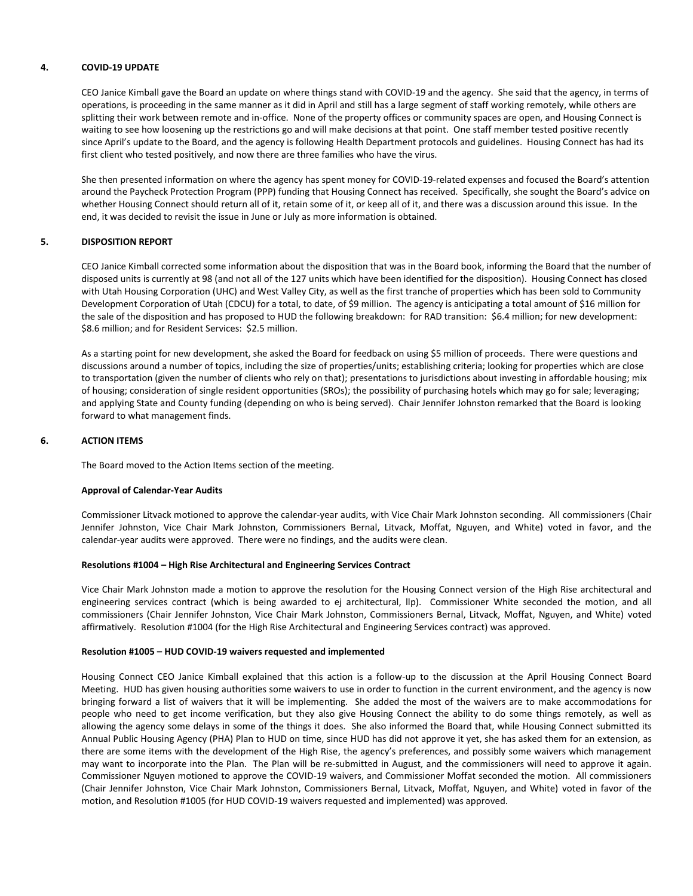## **4. COVID-19 UPDATE**

CEO Janice Kimball gave the Board an update on where things stand with COVID-19 and the agency. She said that the agency, in terms of operations, is proceeding in the same manner as it did in April and still has a large segment of staff working remotely, while others are splitting their work between remote and in-office. None of the property offices or community spaces are open, and Housing Connect is waiting to see how loosening up the restrictions go and will make decisions at that point. One staff member tested positive recently since April's update to the Board, and the agency is following Health Department protocols and guidelines. Housing Connect has had its first client who tested positively, and now there are three families who have the virus.

She then presented information on where the agency has spent money for COVID-19-related expenses and focused the Board's attention around the Paycheck Protection Program (PPP) funding that Housing Connect has received. Specifically, she sought the Board's advice on whether Housing Connect should return all of it, retain some of it, or keep all of it, and there was a discussion around this issue. In the end, it was decided to revisit the issue in June or July as more information is obtained.

## **5. DISPOSITION REPORT**

CEO Janice Kimball corrected some information about the disposition that was in the Board book, informing the Board that the number of disposed units is currently at 98 (and not all of the 127 units which have been identified for the disposition). Housing Connect has closed with Utah Housing Corporation (UHC) and West Valley City, as well as the first tranche of properties which has been sold to Community Development Corporation of Utah (CDCU) for a total, to date, of \$9 million. The agency is anticipating a total amount of \$16 million for the sale of the disposition and has proposed to HUD the following breakdown: for RAD transition: \$6.4 million; for new development: \$8.6 million; and for Resident Services: \$2.5 million.

As a starting point for new development, she asked the Board for feedback on using \$5 million of proceeds. There were questions and discussions around a number of topics, including the size of properties/units; establishing criteria; looking for properties which are close to transportation (given the number of clients who rely on that); presentations to jurisdictions about investing in affordable housing; mix of housing; consideration of single resident opportunities (SROs); the possibility of purchasing hotels which may go for sale; leveraging; and applying State and County funding (depending on who is being served). Chair Jennifer Johnston remarked that the Board is looking forward to what management finds.

## **6. ACTION ITEMS**

The Board moved to the Action Items section of the meeting.

## **Approval of Calendar-Year Audits**

Commissioner Litvack motioned to approve the calendar-year audits, with Vice Chair Mark Johnston seconding. All commissioners (Chair Jennifer Johnston, Vice Chair Mark Johnston, Commissioners Bernal, Litvack, Moffat, Nguyen, and White) voted in favor, and the calendar-year audits were approved. There were no findings, and the audits were clean.

## **Resolutions #1004 – High Rise Architectural and Engineering Services Contract**

Vice Chair Mark Johnston made a motion to approve the resolution for the Housing Connect version of the High Rise architectural and engineering services contract (which is being awarded to ej architectural, llp). Commissioner White seconded the motion, and all commissioners (Chair Jennifer Johnston, Vice Chair Mark Johnston, Commissioners Bernal, Litvack, Moffat, Nguyen, and White) voted affirmatively. Resolution #1004 (for the High Rise Architectural and Engineering Services contract) was approved.

## **Resolution #1005 – HUD COVID-19 waivers requested and implemented**

Housing Connect CEO Janice Kimball explained that this action is a follow-up to the discussion at the April Housing Connect Board Meeting. HUD has given housing authorities some waivers to use in order to function in the current environment, and the agency is now bringing forward a list of waivers that it will be implementing. She added the most of the waivers are to make accommodations for people who need to get income verification, but they also give Housing Connect the ability to do some things remotely, as well as allowing the agency some delays in some of the things it does. She also informed the Board that, while Housing Connect submitted its Annual Public Housing Agency (PHA) Plan to HUD on time, since HUD has did not approve it yet, she has asked them for an extension, as there are some items with the development of the High Rise, the agency's preferences, and possibly some waivers which management may want to incorporate into the Plan. The Plan will be re-submitted in August, and the commissioners will need to approve it again. Commissioner Nguyen motioned to approve the COVID-19 waivers, and Commissioner Moffat seconded the motion. All commissioners (Chair Jennifer Johnston, Vice Chair Mark Johnston, Commissioners Bernal, Litvack, Moffat, Nguyen, and White) voted in favor of the motion, and Resolution #1005 (for HUD COVID-19 waivers requested and implemented) was approved.